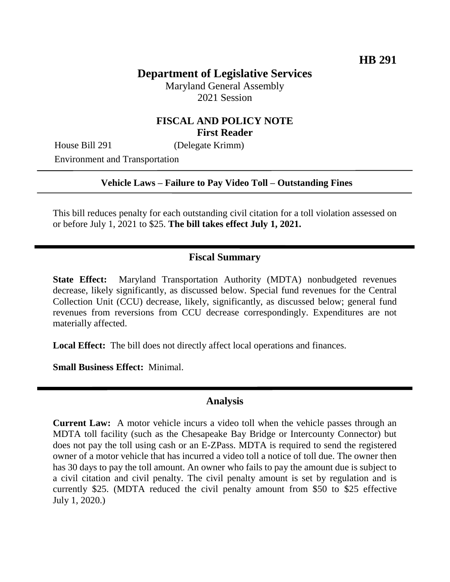# **Department of Legislative Services**

Maryland General Assembly 2021 Session

## **FISCAL AND POLICY NOTE First Reader**

House Bill 291 (Delegate Krimm)

Environment and Transportation

#### **Vehicle Laws – Failure to Pay Video Toll – Outstanding Fines**

This bill reduces penalty for each outstanding civil citation for a toll violation assessed on or before July 1, 2021 to \$25. **The bill takes effect July 1, 2021.** 

#### **Fiscal Summary**

**State Effect:** Maryland Transportation Authority (MDTA) nonbudgeted revenues decrease, likely significantly, as discussed below. Special fund revenues for the Central Collection Unit (CCU) decrease, likely, significantly, as discussed below; general fund revenues from reversions from CCU decrease correspondingly. Expenditures are not materially affected.

**Local Effect:** The bill does not directly affect local operations and finances.

**Small Business Effect:** Minimal.

### **Analysis**

**Current Law:** A motor vehicle incurs a video toll when the vehicle passes through an MDTA toll facility (such as the Chesapeake Bay Bridge or Intercounty Connector) but does not pay the toll using cash or an E-ZPass. MDTA is required to send the registered owner of a motor vehicle that has incurred a video toll a notice of toll due. The owner then has 30 days to pay the toll amount. An owner who fails to pay the amount due is subject to a civil citation and civil penalty. The civil penalty amount is set by regulation and is currently \$25. (MDTA reduced the civil penalty amount from \$50 to \$25 effective July 1, 2020.)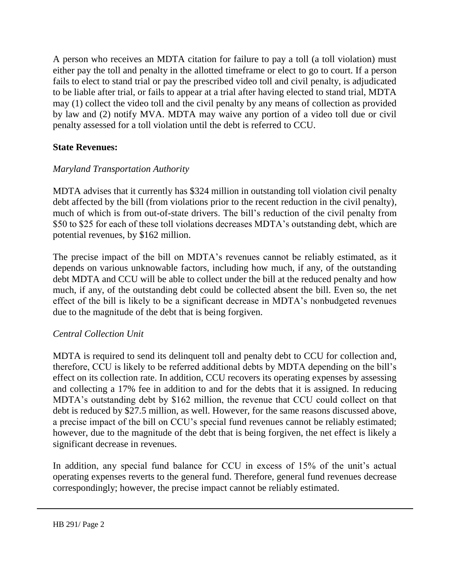A person who receives an MDTA citation for failure to pay a toll (a toll violation) must either pay the toll and penalty in the allotted timeframe or elect to go to court. If a person fails to elect to stand trial or pay the prescribed video toll and civil penalty, is adjudicated to be liable after trial, or fails to appear at a trial after having elected to stand trial, MDTA may (1) collect the video toll and the civil penalty by any means of collection as provided by law and (2) notify MVA. MDTA may waive any portion of a video toll due or civil penalty assessed for a toll violation until the debt is referred to CCU.

## **State Revenues:**

## *Maryland Transportation Authority*

MDTA advises that it currently has \$324 million in outstanding toll violation civil penalty debt affected by the bill (from violations prior to the recent reduction in the civil penalty), much of which is from out-of-state drivers. The bill's reduction of the civil penalty from \$50 to \$25 for each of these toll violations decreases MDTA's outstanding debt, which are potential revenues, by \$162 million.

The precise impact of the bill on MDTA's revenues cannot be reliably estimated, as it depends on various unknowable factors, including how much, if any, of the outstanding debt MDTA and CCU will be able to collect under the bill at the reduced penalty and how much, if any, of the outstanding debt could be collected absent the bill. Even so, the net effect of the bill is likely to be a significant decrease in MDTA's nonbudgeted revenues due to the magnitude of the debt that is being forgiven.

### *Central Collection Unit*

MDTA is required to send its delinquent toll and penalty debt to CCU for collection and, therefore, CCU is likely to be referred additional debts by MDTA depending on the bill's effect on its collection rate. In addition, CCU recovers its operating expenses by assessing and collecting a 17% fee in addition to and for the debts that it is assigned. In reducing MDTA's outstanding debt by \$162 million, the revenue that CCU could collect on that debt is reduced by \$27.5 million, as well. However, for the same reasons discussed above, a precise impact of the bill on CCU's special fund revenues cannot be reliably estimated; however, due to the magnitude of the debt that is being forgiven, the net effect is likely a significant decrease in revenues.

In addition, any special fund balance for CCU in excess of 15% of the unit's actual operating expenses reverts to the general fund. Therefore, general fund revenues decrease correspondingly; however, the precise impact cannot be reliably estimated.